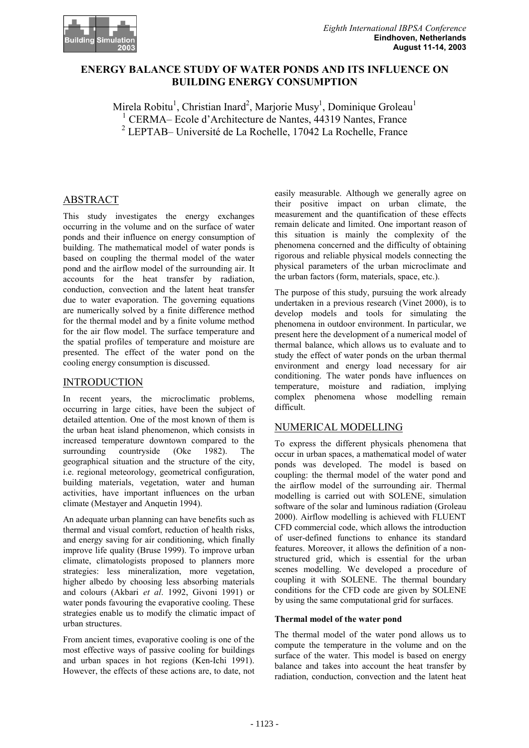

# **ENERGY BALANCE STUDY OF WATER PONDS AND ITS INFLUENCE ON BUILDING ENERGY CONSUMPTION**

Mirela Robitu<sup>1</sup>, Christian Inard<sup>2</sup>, Marjorie Musy<sup>1</sup>, Dominique Groleau<sup>1</sup> <sup>1</sup> CERMA– Ecole d'Architecture de Nantes, 44319 Nantes, France 2 LEPTAB– Université de La Rochelle, 17042 La Rochelle, France

# ABSTRACT

This study investigates the energy exchanges occurring in the volume and on the surface of water ponds and their influence on energy consumption of building. The mathematical model of water ponds is based on coupling the thermal model of the water pond and the airflow model of the surrounding air. It accounts for the heat transfer by radiation, conduction, convection and the latent heat transfer due to water evaporation. The governing equations are numerically solved by a finite difference method for the thermal model and by a finite volume method for the air flow model. The surface temperature and the spatial profiles of temperature and moisture are presented. The effect of the water pond on the cooling energy consumption is discussed.

## INTRODUCTION

In recent years, the microclimatic problems, occurring in large cities, have been the subject of detailed attention. One of the most known of them is the urban heat island phenomenon, which consists in increased temperature downtown compared to the surrounding countryside (Oke 1982). The geographical situation and the structure of the city, i.e. regional meteorology, geometrical configuration, building materials, vegetation, water and human activities, have important influences on the urban climate (Mestayer and Anquetin 1994).

An adequate urban planning can have benefits such as thermal and visual comfort, reduction of health risks, and energy saving for air conditioning, which finally improve life quality (Bruse 1999). To improve urban climate, climatologists proposed to planners more strategies: less mineralization, more vegetation, higher albedo by choosing less absorbing materials and colours (Akbari *et al*. 1992, Givoni 1991) or water ponds favouring the evaporative cooling. These strategies enable us to modify the climatic impact of urban structures.

From ancient times, evaporative cooling is one of the most effective ways of passive cooling for buildings and urban spaces in hot regions (Ken-Ichi 1991). However, the effects of these actions are, to date, not

easily measurable. Although we generally agree on their positive impact on urban climate, the measurement and the quantification of these effects remain delicate and limited. One important reason of this situation is mainly the complexity of the phenomena concerned and the difficulty of obtaining rigorous and reliable physical models connecting the physical parameters of the urban microclimate and the urban factors (form, materials, space, etc.).

The purpose of this study, pursuing the work already undertaken in a previous research (Vinet 2000), is to develop models and tools for simulating the phenomena in outdoor environment. In particular, we present here the development of a numerical model of thermal balance, which allows us to evaluate and to study the effect of water ponds on the urban thermal environment and energy load necessary for air conditioning. The water ponds have influences on temperature, moisture and radiation, implying complex phenomena whose modelling remain difficult.

# NUMERICAL MODELLING

To express the different physicals phenomena that occur in urban spaces, a mathematical model of water ponds was developed. The model is based on coupling: the thermal model of the water pond and the airflow model of the surrounding air. Thermal modelling is carried out with SOLENE, simulation software of the solar and luminous radiation (Groleau 2000). Airflow modelling is achieved with FLUENT CFD commercial code, which allows the introduction of user-defined functions to enhance its standard features. Moreover, it allows the definition of a nonstructured grid, which is essential for the urban scenes modelling. We developed a procedure of coupling it with SOLENE. The thermal boundary conditions for the CFD code are given by SOLENE by using the same computational grid for surfaces.

## **Thermal model of the water pond**

The thermal model of the water pond allows us to compute the temperature in the volume and on the surface of the water. This model is based on energy balance and takes into account the heat transfer by radiation, conduction, convection and the latent heat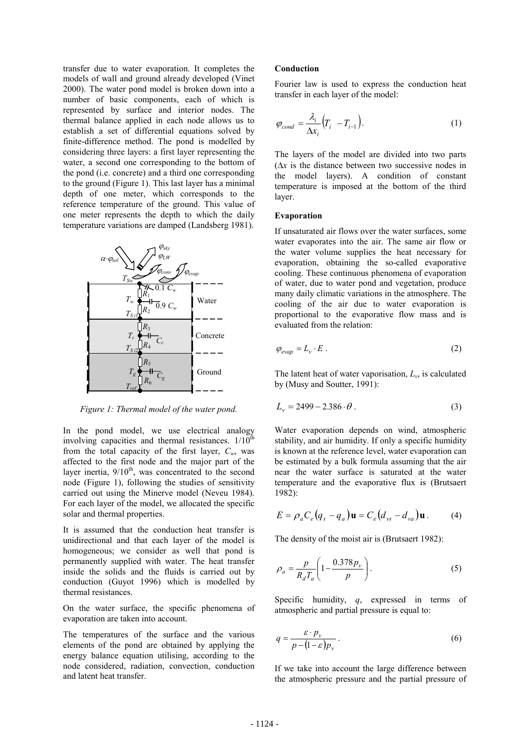transfer due to water evaporation. It completes the models of wall and ground already developed (Vinet 2000). The water pond model is broken down into a number of basic components, each of which is represented by surface and interior nodes. The thermal balance applied in each node allows us to establish a set of differential equations solved by finite-difference method. The pond is modelled by considering three layers: a first layer representing the water, a second one corresponding to the bottom of the pond (i.e. concrete) and a third one corresponding to the ground (Figure 1). This last layer has a minimal depth of one meter, which corresponds to the reference temperature of the ground. This value of one meter represents the depth to which the daily temperature variations are damped (Landsberg 1981).



*Figure 1: Thermal model of the water pond.* 

In the pond model, we use electrical analogy involving capacities and thermal resistances.  $1/10^{th}$ from the total capacity of the first layer,  $C_w$ , was affected to the first node and the major part of the layer inertia,  $9/10<sup>th</sup>$ , was concentrated to the second node (Figure 1), following the studies of sensitivity carried out using the Minerve model (Neveu 1984). For each layer of the model, we allocated the specific solar and thermal properties.

It is assumed that the conduction heat transfer is unidirectional and that each layer of the model is homogeneous; we consider as well that pond is permanently supplied with water. The heat transfer inside the solids and the fluids is carried out by conduction (Guyot 1996) which is modelled by thermal resistances.

On the water surface, the specific phenomena of evaporation are taken into account.

The temperatures of the surface and the various elements of the pond are obtained by applying the energy balance equation utilising, according to the node considered, radiation, convection, conduction and latent heat transfer.

### **Conduction**

Fourier law is used to express the conduction heat transfer in each layer of the model:

$$
\varphi_{cond} = \frac{\lambda_i}{\Delta x_i} \Big( T_i - T_{i-1} \Big). \tag{1}
$$

The layers of the model are divided into two parts  $(\Delta x)$  is the distance between two successive nodes in the model layers). A condition of constant temperature is imposed at the bottom of the third layer.

#### **Evaporation**

If unsaturated air flows over the water surfaces, some water evaporates into the air. The same air flow or the water volume supplies the heat necessary for evaporation, obtaining the so-called evaporative cooling. These continuous phenomena of evaporation of water, due to water pond and vegetation, produce many daily climatic variations in the atmosphere. The cooling of the air due to water evaporation is proportional to the evaporative flow mass and is evaluated from the relation:

$$
\varphi_{evap} = L_v \cdot E \tag{2}
$$

The latent heat of water vaporisation, *Lv*, is calculated by (Musy and Soutter, 1991):

$$
L_{\nu} = 2499 - 2.386 \cdot \theta \,. \tag{3}
$$

Water evaporation depends on wind, atmospheric stability, and air humidity. If only a specific humidity is known at the reference level, water evaporation can be estimated by a bulk formula assuming that the air near the water surface is saturated at the water temperature and the evaporative flux is (Brutsaert 1982):

$$
E = \rho_a C_e (q_s - q_a) \mathbf{u} = C_e (d_{vs} - d_{va}) \mathbf{u}.
$$
 (4)

The density of the moist air is (Brutsaert 1982):

$$
\rho_a = \frac{p}{R_d T_a} \left( 1 - \frac{0.378 p_v}{p} \right). \tag{5}
$$

Specific humidity, *q*, expressed in terms of atmospheric and partial pressure is equal to:

$$
q = \frac{\varepsilon \cdot p_{\nu}}{p - (1 - \varepsilon)p_{\nu}}.
$$
 (6)

If we take into account the large difference between the atmospheric pressure and the partial pressure of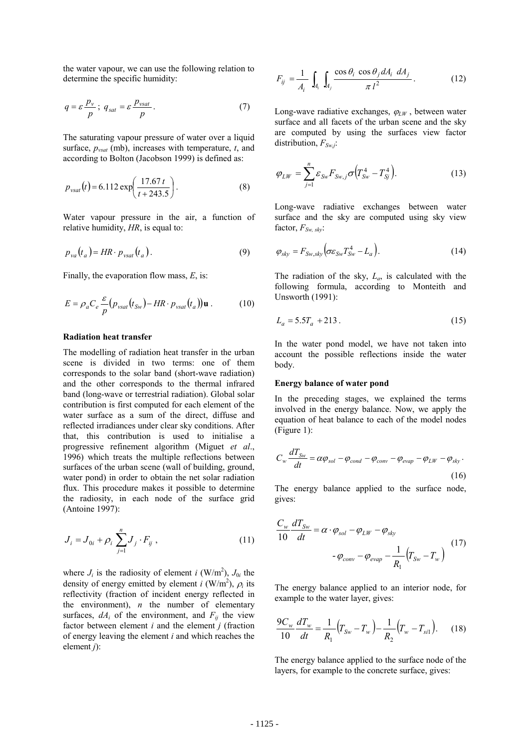the water vapour, we can use the following relation to determine the specific humidity:

$$
q = \varepsilon \frac{p_v}{p}; \ q_{sat} = \varepsilon \frac{p_{vsat}}{p}.
$$
 (7)

The saturating vapour pressure of water over a liquid surface, *pvsat* (mb), increases with temperature, *t*, and according to Bolton (Jacobson 1999) is defined as:

$$
p_{\text{vsat}}(t) = 6.112 \exp\left(\frac{17.67 \, t}{t + 243.5}\right). \tag{8}
$$

Water vapour pressure in the air, a function of relative humidity, *HR*, is equal to:

$$
p_{va}(t_a) = HR \cdot p_{vsat}(t_a). \tag{9}
$$

Finally, the evaporation flow mass, *E*, is:

$$
E = \rho_a C_e \frac{\varepsilon}{p} \left( p_{\text{vsat}} \left( t_{\text{Sw}} \right) - HR \cdot p_{\text{vsat}} \left( t_a \right) \right) \mathbf{u} \,. \tag{10}
$$

### **Radiation heat transfer**

The modelling of radiation heat transfer in the urban scene is divided in two terms: one of them corresponds to the solar band (short-wave radiation) and the other corresponds to the thermal infrared band (long-wave or terrestrial radiation). Global solar contribution is first computed for each element of the water surface as a sum of the direct, diffuse and reflected irradiances under clear sky conditions. After that, this contribution is used to initialise a progressive refinement algorithm (Miguet *et al*., 1996) which treats the multiple reflections between surfaces of the urban scene (wall of building, ground, water pond) in order to obtain the net solar radiation flux. This procedure makes it possible to determine the radiosity, in each node of the surface grid (Antoine 1997):

$$
J_i = J_{0i} + \rho_i \sum_{j=1}^{n} J_j \cdot F_{ij} , \qquad (11)
$$

where  $J_i$  is the radiosity of element *i* (W/m<sup>2</sup>),  $J_{0i}$  the density of energy emitted by element *i* (W/m<sup>2</sup>),  $\rho_i$  its reflectivity (fraction of incident energy reflected in the environment), *n* the number of elementary surfaces,  $dA_i$  of the environment, and  $F_{ij}$  the view factor between element *i* and the element *j* (fraction of energy leaving the element *i* and which reaches the element *j*):

$$
F_{ij} = \frac{1}{A_i} \int_{A_i} \int_{A_j} \frac{\cos \theta_i \cos \theta_j dA_i dA_j}{\pi l^2}.
$$
 (12)

Long-wave radiative exchanges,  $\varphi_{LW}$ , between water surface and all facets of the urban scene and the sky are computed by using the surfaces view factor distribution,  $F_{Sw,i}$ :

$$
\varphi_{LW} = \sum_{j=1}^{n} \varepsilon_{Sw} F_{Sw,j} \sigma \Big( T_{Sw}^{4} - T_{Sj}^{4} \Big). \tag{13}
$$

Long-wave radiative exchanges between water surface and the sky are computed using sky view factor,  $F_{Sw, \, skv}$ :

$$
\varphi_{sky} = F_{Sw, sky} \big( \sigma \varepsilon_{Sw} T_{Sw}^4 - L_a \big). \tag{14}
$$

The radiation of the sky, *La*, is calculated with the following formula, according to Monteith and Unsworth (1991):

$$
L_a = 5.5T_a + 213.
$$
 (15)

In the water pond model, we have not taken into account the possible reflections inside the water body.

#### **Energy balance of water pond**

In the preceding stages, we explained the terms involved in the energy balance. Now, we apply the equation of heat balance to each of the model nodes (Figure 1):

$$
C_w \frac{dT_{Sw}}{dt} = \alpha \varphi_{sol} - \varphi_{cond} - \varphi_{conv} - \varphi_{evap} - \varphi_{LW} - \varphi_{sky}.
$$
\n(16)

The energy balance applied to the surface node, gives:

$$
\frac{C_w}{10} \frac{dT_{Sw}}{dt} = \alpha \cdot \varphi_{sol} - \varphi_{LW} - \varphi_{sky}
$$

$$
-\varphi_{conv} - \varphi_{evap} - \frac{1}{R_1} (T_{Sw} - T_w)
$$
(17)

The energy balance applied to an interior node, for example to the water layer, gives:

$$
\frac{9C_w}{10}\frac{dT_w}{dt} = \frac{1}{R_1}\Big(T_{Sw} - T_w\Big) - \frac{1}{R_2}\Big(T_w - T_{sil}\Big). \tag{18}
$$

The energy balance applied to the surface node of the layers, for example to the concrete surface, gives: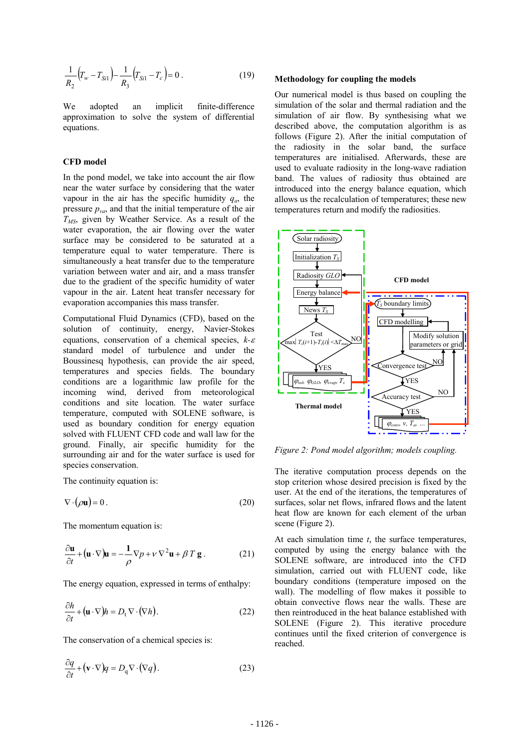$$
\frac{1}{R_2} \Big( T_w - T_{Si1} \Big) - \frac{1}{R_3} \Big( T_{Si1} - T_c \Big) = 0 \ . \tag{19}
$$

We adopted an implicit finite-difference approximation to solve the system of differential equations.

### **CFD model**

In the pond model, we take into account the air flow near the water surface by considering that the water vapour in the air has the specific humidity  $q_a$ , the pressure  $p_{va}$ , and that the initial temperature of the air *TMS*, given by Weather Service. As a result of the water evaporation, the air flowing over the water surface may be considered to be saturated at a temperature equal to water temperature. There is simultaneously a heat transfer due to the temperature variation between water and air, and a mass transfer due to the gradient of the specific humidity of water vapour in the air. Latent heat transfer necessary for evaporation accompanies this mass transfer.

Computational Fluid Dynamics (CFD), based on the solution of continuity, energy, Navier-Stokes equations, conservation of a chemical species,  $k-\varepsilon$ standard model of turbulence and under the Boussinesq hypothesis, can provide the air speed, temperatures and species fields. The boundary conditions are a logarithmic law profile for the incoming wind, derived from meteorological conditions and site location. The water surface temperature, computed with SOLENE software, is used as boundary condition for energy equation solved with FLUENT CFD code and wall law for the ground. Finally, air specific humidity for the surrounding air and for the water surface is used for species conservation.

The continuity equation is:

$$
\nabla \cdot (\rho \mathbf{u}) = 0. \tag{20}
$$

The momentum equation is:

$$
\frac{\partial \mathbf{u}}{\partial t} + (\mathbf{u} \cdot \nabla)\mathbf{u} = -\frac{1}{\rho} \nabla p + \nu \nabla^2 \mathbf{u} + \beta T \mathbf{g}.
$$
 (21)

The energy equation, expressed in terms of enthalpy:

$$
\frac{\partial h}{\partial t} + (\mathbf{u} \cdot \nabla) h = D_{\mathbf{t}} \nabla \cdot (\nabla h). \tag{22}
$$

The conservation of a chemical species is:

$$
\frac{\partial q}{\partial t} + (\mathbf{v} \cdot \nabla) q = D_{\mathbf{q}} \nabla \cdot (\nabla q). \tag{23}
$$

#### **Methodology for coupling the models**

Our numerical model is thus based on coupling the simulation of the solar and thermal radiation and the simulation of air flow. By synthesising what we described above, the computation algorithm is as follows (Figure 2). After the initial computation of the radiosity in the solar band, the surface temperatures are initialised. Afterwards, these are used to evaluate radiosity in the long-wave radiation band. The values of radiosity thus obtained are introduced into the energy balance equation, which allows us the recalculation of temperatures; these new temperatures return and modify the radiosities.



*Figure 2: Pond model algorithm; models coupling.* 

The iterative computation process depends on the stop criterion whose desired precision is fixed by the user. At the end of the iterations, the temperatures of surfaces, solar net flows, infrared flows and the latent heat flow are known for each element of the urban scene (Figure 2).

At each simulation time *t*, the surface temperatures, computed by using the energy balance with the SOLENE software, are introduced into the CFD simulation, carried out with FLUENT code, like boundary conditions (temperature imposed on the wall). The modelling of flow makes it possible to obtain convective flows near the walls. These are then reintroduced in the heat balance established with SOLENE (Figure 2). This iterative procedure continues until the fixed criterion of convergence is reached.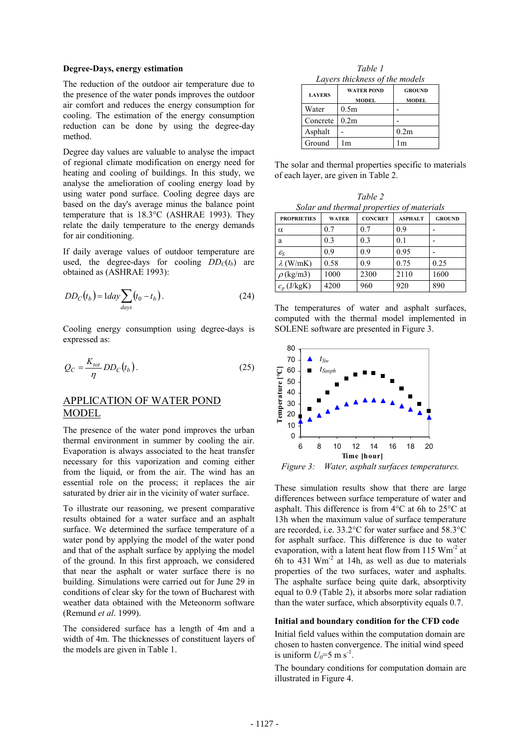### **Degree-Days, energy estimation**

The reduction of the outdoor air temperature due to the presence of the water ponds improves the outdoor air comfort and reduces the energy consumption for cooling. The estimation of the energy consumption reduction can be done by using the degree-day method.

Degree day values are valuable to analyse the impact of regional climate modification on energy need for heating and cooling of buildings. In this study, we analyse the amelioration of cooling energy load by using water pond surface. Cooling degree days are based on the day's average minus the balance point temperature that is 18.3°C (ASHRAE 1993). They relate the daily temperature to the energy demands for air conditioning.

If daily average values of outdoor temperature are used, the degree-days for cooling  $DD<sub>C</sub>(t<sub>b</sub>)$  are obtained as (ASHRAE 1993):

$$
DD_C(t_b) = 1 day \sum_{days} (t_0 - t_b).
$$
 (24)

Cooling energy consumption using degree-days is expressed as:

$$
Q_C = \frac{K_{tot}}{\eta} DD_C(t_b).
$$
 (25)

## APPLICATION OF WATER POND MODEL

The presence of the water pond improves the urban thermal environment in summer by cooling the air. Evaporation is always associated to the heat transfer necessary for this vaporization and coming either from the liquid, or from the air. The wind has an essential role on the process; it replaces the air saturated by drier air in the vicinity of water surface.

To illustrate our reasoning, we present comparative results obtained for a water surface and an asphalt surface. We determined the surface temperature of a water pond by applying the model of the water pond and that of the asphalt surface by applying the model of the ground. In this first approach, we considered that near the asphalt or water surface there is no building. Simulations were carried out for June 29 in conditions of clear sky for the town of Bucharest with weather data obtained with the Meteonorm software (Remund *et al*. 1999).

The considered surface has a length of 4m and a width of 4m. The thicknesses of constituent layers of the models are given in Table 1.

*Table 1 Layers thickness of the models* 

| <b>LAYERS</b> | <b>WATER POND</b><br><b>MODEL</b> | <b>GROUND</b><br><b>MODEL</b> |  |  |
|---------------|-----------------------------------|-------------------------------|--|--|
| Water         | 0.5m                              |                               |  |  |
| Concrete      | 0.2 <sub>m</sub>                  |                               |  |  |
| Asphalt       |                                   | 0.2m                          |  |  |
| Ground        | m                                 | l m                           |  |  |

The solar and thermal properties specific to materials of each layer, are given in Table 2.

*Table 2 Solar and thermal properties of materials* 

| <b>PROPRIETIES</b> | <b>WATER</b> | <b>CONCRET</b> | <b>ASPHALT</b> | <b>GROUND</b> |
|--------------------|--------------|----------------|----------------|---------------|
| $\alpha$           | 0.7          | 0.7            | 0.9            |               |
| a                  | 0.3          | 0.3            | 0.1            |               |
| $\mathcal{E}_{S}$  | 0.9          | 0.9            | 0.95           |               |
| $\lambda$ (W/mK)   | 0.58         | 0.9            | 0.75           | 0.25          |
| $\rho$ (kg/m3)     | 1000         | 2300           | 2110           | 1600          |
| $c_p$ (J/kgK)      | 4200         | 960            | 920            | 890           |

The temperatures of water and asphalt surfaces, computed with the thermal model implemented in SOLENE software are presented in Figure 3.



*Figure 3: Water, asphalt surfaces temperatures.* 

These simulation results show that there are large differences between surface temperature of water and asphalt. This difference is from  $4^{\circ}$ C at 6h to  $25^{\circ}$ C at 13h when the maximum value of surface temperature are recorded, i.e. 33.2°C for water surface and 58.3°C for asphalt surface. This difference is due to water evaporation, with a latent heat flow from 115  $Wm<sup>-2</sup>$  at 6h to 431  $Wm<sup>-2</sup>$  at 14h, as well as due to materials properties of the two surfaces, water and asphalts. The asphalte surface being quite dark, absorptivity equal to 0.9 (Table 2), it absorbs more solar radiation than the water surface, which absorptivity equals 0.7.

## **Initial and boundary condition for the CFD code**

Initial field values within the computation domain are chosen to hasten convergence. The initial wind speed is uniform  $U_0=5$  m s<sup>-1</sup>.

The boundary conditions for computation domain are illustrated in Figure 4.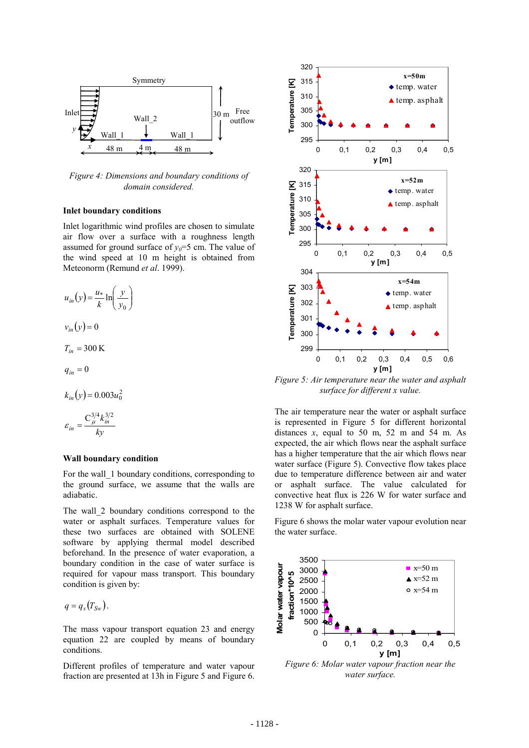

*Figure 4: Dimensions and boundary conditions of domain considered.* 

### **Inlet boundary conditions**

Inlet logarithmic wind profiles are chosen to simulate air flow over a surface with a roughness length assumed for ground surface of  $y_0=5$  cm. The value of the wind speed at 10 m height is obtained from Meteonorm (Remund *et al*. 1999).

$$
u_{in}(y) = \frac{u_{*}}{k} \ln\left(\frac{y}{y_{0}}\right)
$$

$$
v_{in}(y) = 0
$$

$$
T_{in} = 300 \text{ K}
$$

$$
q_{in}=0
$$

 $k_{in}(y) = 0.003u_0^2$ 

$$
\varepsilon_{in} = \frac{C_{\mu}^{3/4} k_{in}^{3/2}}{ky}
$$

### **Wall boundary condition**

For the wall 1 boundary conditions, corresponding to the ground surface, we assume that the walls are adiabatic.

The wall 2 boundary conditions correspond to the water or asphalt surfaces. Temperature values for these two surfaces are obtained with SOLENE software by applying thermal model described beforehand. In the presence of water evaporation, a boundary condition in the case of water surface is required for vapour mass transport. This boundary condition is given by:

$$
q=q_s(T_{\rm Sw}).
$$

The mass vapour transport equation 23 and energy equation 22 are coupled by means of boundary conditions.

Different profiles of temperature and water vapour fraction are presented at 13h in Figure 5 and Figure 6.



*Figure 5: Air temperature near the water and asphalt surface for different x value.* 

The air temperature near the water or asphalt surface is represented in Figure 5 for different horizontal distances  $x$ , equal to 50 m, 52 m and 54 m. As expected, the air which flows near the asphalt surface has a higher temperature that the air which flows near water surface (Figure 5). Convective flow takes place due to temperature difference between air and water or asphalt surface. The value calculated for convective heat flux is 226 W for water surface and 1238 W for asphalt surface.

Figure 6 shows the molar water vapour evolution near the water surface.



*water surface.*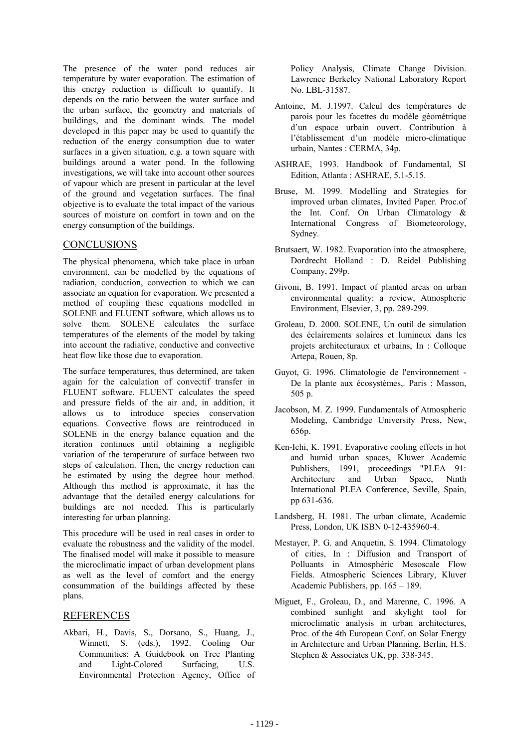The presence of the water pond reduces air temperature by water evaporation. The estimation of this energy reduction is difficult to quantify. It depends on the ratio between the water surface and the urban surface, the geometry and materials of buildings, and the dominant winds. The model developed in this paper may be used to quantify the reduction of the energy consumption due to water surfaces in a given situation, e.g. a town square with buildings around a water pond. In the following investigations, we will take into account other sources of vapour which are present in particular at the level of the ground and vegetation surfaces. The final objective is to evaluate the total impact of the various sources of moisture on comfort in town and on the energy consumption of the buildings.

# **CONCLUSIONS**

The physical phenomena, which take place in urban environment, can be modelled by the equations of radiation, conduction, convection to which we can associate an equation for evaporation. We presented a method of coupling these equations modelled in SOLENE and FLUENT software, which allows us to solve them. SOLENE calculates the surface temperatures of the elements of the model by taking into account the radiative, conductive and convective heat flow like those due to evaporation.

The surface temperatures, thus determined, are taken again for the calculation of convectif transfer in FLUENT software. FLUENT calculates the speed and pressure fields of the air and, in addition, it allows us to introduce species conservation equations. Convective flows are reintroduced in SOLENE in the energy balance equation and the iteration continues until obtaining a negligible variation of the temperature of surface between two steps of calculation. Then, the energy reduction can be estimated by using the degree hour method. Although this method is approximate, it has the advantage that the detailed energy calculations for buildings are not needed. This is particularly interesting for urban planning.

This procedure will be used in real cases in order to evaluate the robustness and the validity of the model. The finalised model will make it possible to measure the microclimatic impact of urban development plans as well as the level of comfort and the energy consummation of the buildings affected by these plans.

## REFERENCES

Akbari, H., Davis, S., Dorsano, S., Huang, J., Winnett, S. (eds.), 1992. Cooling Our Communities: A Guidebook on Tree Planting and Light-Colored Surfacing, U.S. Environmental Protection Agency, Office of

Policy Analysis, Climate Change Division. Lawrence Berkeley National Laboratory Report No. LBL-31587.

- Antoine, M. J.1997. Calcul des températures de parois pour les facettes du modèle géométrique d'un espace urbain ouvert. Contribution à l'établissement d'un modèle micro-climatique urbain, Nantes : CERMA, 34p.
- ASHRAE, 1993. Handbook of Fundamental, SI Edition, Atlanta : ASHRAE, 5.1-5.15.
- Bruse, M. 1999. Modelling and Strategies for improved urban climates, Invited Paper. Proc.of the Int. Conf. On Urban Climatology & International Congress of Biometeorology, Sydney.
- Brutsaert, W. 1982. Evaporation into the atmosphere, Dordrecht Holland : D. Reidel Publishing Company, 299p.
- Givoni, B. 1991. Impact of planted areas on urban environmental quality: a review, Atmospheric Environment, Elsevier, 3, pp. 289-299.
- Groleau, D. 2000. SOLENE, Un outil de simulation des éclairements solaires et lumineux dans les projets architecturaux et urbains, In : Colloque Artepa, Rouen, 8p.
- Guyot, G. 1996. Climatologie de l'environnement De la plante aux écosystèmes,. Paris : Masson, 505 p.
- Jacobson, M. Z. 1999. Fundamentals of Atmospheric Modeling, Cambridge University Press, New, 656p.
- Ken-Ichi, K. 1991. Evaporative cooling effects in hot and humid urban spaces, Kluwer Academic Publishers, 1991, proceedings "PLEA 91: Architecture and Urban Space, Ninth International PLEA Conference, Seville, Spain, pp 631-636.
- Landsberg, H. 1981. The urban climate, Academic Press, London, UK ISBN 0-12-435960-4.
- Mestayer, P. G. and Anquetin, S. 1994. Climatology of cities, In : Diffusion and Transport of Polluants in Atmosphéric Mesoscale Flow Fields. Atmospheric Sciences Library, Kluver Academic Publishers, pp. 165 – 189.
- Miguet, F., Groleau, D., and Marenne, C. 1996. A combined sunlight and skylight tool for microclimatic analysis in urban architectures, Proc. of the 4th European Conf. on Solar Energy in Architecture and Urban Planning, Berlin, H.S. Stephen & Associates UK, pp. 338-345.